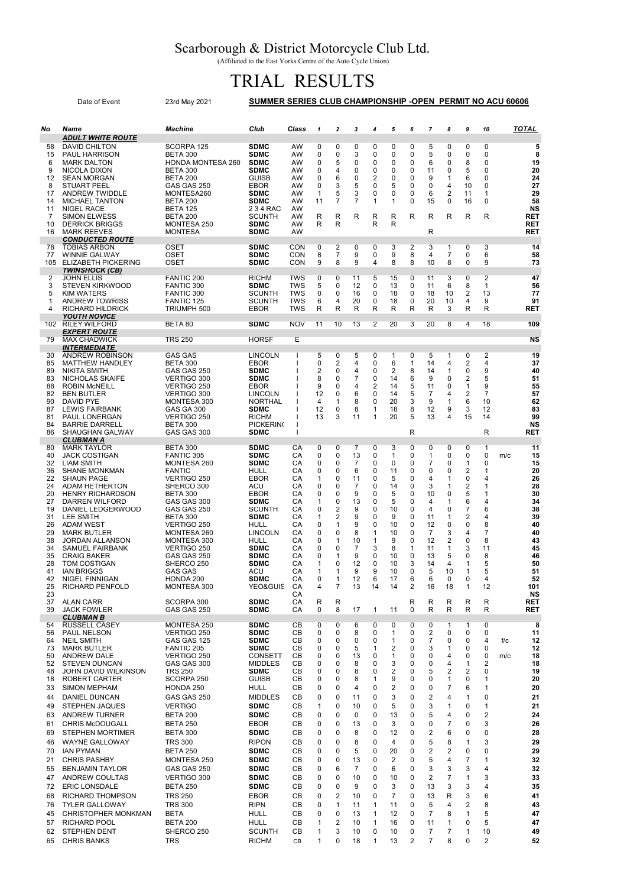## Scarborough & District Motorcycle Club Ltd.

(Affiliated to the East Yorks Centre of the Auto Cycle Union)

## TRIAL RESULTS

|          | Date of Event                                        | SUMMER SERIES CLUB CHAMPIONSHIP -OPEN PERMIT NO ACU 60606 |                             |            |              |                         |                  |                  |                              |                  |                         |                                         |                         |                |                 |
|----------|------------------------------------------------------|-----------------------------------------------------------|-----------------------------|------------|--------------|-------------------------|------------------|------------------|------------------------------|------------------|-------------------------|-----------------------------------------|-------------------------|----------------|-----------------|
| No       | Name                                                 | Machine                                                   | Club                        | Class      | $\mathbf{1}$ | $\overline{2}$          | 3                | 4                | 5                            | 6                | $\overline{7}$          | 8                                       | 9                       | 10             | <b>TOTAL</b>    |
| 58       | <b>ADULT WHITE ROUTE</b><br><b>DAVID CHILTON</b>     | SCORPA 125                                                | <b>SDMC</b>                 | AW         | $\mathbf 0$  | 0                       | 0                | 0                | 0                            | $\Omega$         | 5                       | 0                                       | 0                       | 0              | 5               |
| 15       | <b>PAUL HARRISON</b>                                 | BETA 300                                                  | <b>SDMC</b>                 | AW         | 0            | 0                       | 3                | 0                | 0                            | 0                | 5                       | 0                                       | 0                       | 0              | 8               |
| 6        | <b>MARK DALTON</b>                                   | <b>HONDA MONTESA 260</b>                                  | <b>SDMC</b>                 | AW         | 0            | 5                       | 0                | 0                | 0                            | 0                | 6                       | 0                                       | 8                       | 0              | 19              |
| 9<br>12  | NICOLA DIXON<br><b>SEAN MORGAN</b>                   | BETA 300<br><b>BETA 200</b>                               | <b>SDMC</b><br><b>GUISB</b> | AW<br>AW   | 0<br>0       | 4<br>6                  | 0<br>$\mathbf 0$ | 0<br>2           | 0<br>0                       | 0<br>0           | 11<br>9                 | 0<br>1                                  | 5<br>6                  | 0<br>0         | 20<br>24        |
| 8        | <b>STUART PEEL</b>                                   | GAS GAS 250                                               | EBOR                        | AW         | 0            | 3                       | 5                | 0                | 5                            | 0                | 0                       | 4                                       | 10                      | 0              | 27              |
| 17       | <b>ANDREW TWIDDLE</b>                                | MONTESA260                                                | <b>SDMC</b>                 | AW         | 1            | 5                       | 3                | 0                | 0                            | 0                | 6                       | $\overline{2}$                          | 11                      | 1              | 29              |
| 14<br>11 | <b>MICHAEL TANTON</b><br><b>NIGEL RACE</b>           | <b>BETA 200</b><br><b>BETA 125</b>                        | <b>SDMC</b><br>2 3 4 RAC    | AW<br>AW   | 11           | 7                       | $\overline{7}$   | 1                | 1                            | 0                | 15                      | $\mathbf 0$                             | 16                      | 0              | 58<br>ΝS        |
| 7        | <b>SIMON ELWESS</b>                                  | BETA 200                                                  | <b>SCUNTH</b>               | AW         | R            | R                       | R                | R                | R                            | R                | R                       | R                                       | R                       | R              | RET             |
| 10       | <b>DERRICK BRIGGS</b>                                | MONTESA 250                                               | <b>SDMC</b>                 | AW         | R            | R                       |                  | R                | R                            |                  |                         |                                         |                         |                | RET             |
| 16       | <b>MARK REEVES</b><br><b>CONDUCTED ROUTE</b>         | <b>MONTESA</b>                                            | <b>SDMC</b>                 | AW         |              |                         |                  |                  |                              |                  | R                       |                                         |                         |                | <b>RET</b>      |
| 78       | <b>TOBIAS ARBON</b>                                  | OSET                                                      | <b>SDMC</b>                 | CON        | 0            | $\overline{2}$          | 0                | 0                | 3                            | $\overline{2}$   | 3                       | 1                                       | 0                       | 3              | 14              |
| 77       | <b>WINNIE GALWAY</b>                                 | OSET                                                      | <b>SDMC</b>                 | CON        | 8            | 7                       | 9<br>9           | 0<br>4           | 9<br>8                       | 8                | 4<br>10                 | 7                                       | 0                       | 6              | 58              |
| 105      | <b>ELIZABETH PICKERING</b><br>TWINSHOCK (CB)         | <b>OSET</b>                                               | <b>SDMC</b>                 | CON        | 9            | 8                       |                  |                  |                              | 8                |                         | 8                                       | 0                       | 9              | 73              |
| 2        | <b>JOHN ELLIS</b>                                    | FANTIC 200                                                | <b>RICHM</b>                | TWS        | $\mathbf 0$  | 0                       | 11               | 5                | 15                           | 0                | 11                      | 3                                       | 0                       | 2              | 47              |
| 3<br>5   | <b>STEVEN KIRKWOOD</b><br>KIM WATERS                 | <b>FANTIC 300</b><br><b>FANTIC 300</b>                    | <b>SDMC</b><br>SCUNTH       | TWS<br>TWS | 5<br>0       | 0<br>0                  | 12<br>16         | 0<br>0           | 13<br>18                     | 0<br>0           | 11<br>18                | 6<br>10                                 | 8<br>$\overline{2}$     | 1<br>13        | 56<br>77        |
| 1        | <b>ANDREW TOWRISS</b>                                | <b>FANTIC 125</b>                                         | <b>SCUNTH</b>               | TWS        | 6            | 4                       | 20               | 0                | 18                           | 0                | 20                      | 10                                      | 4                       | 9              | 91              |
| 4        | <b>RICHARD HILDRICK</b>                              | TRIUMPH 500                                               | EBOR                        | TWS        | R            | R                       | R                | R                | R                            | R                | R                       | 3                                       | R                       | R              | <b>RET</b>      |
| 102      | <b>YOUTH NOVICE</b><br><b>RILEY WILFORD</b>          | BETA 80                                                   | <b>SDMC</b>                 | <b>NOV</b> | 11           | 10                      | 13               | 2                | 20                           | 3                | 20                      | 8                                       | 4                       | 18             | 109             |
|          | EXPERT ROUTE                                         |                                                           |                             |            |              |                         |                  |                  |                              |                  |                         |                                         |                         |                |                 |
| 79       | <b>MAX CHADWICK</b>                                  | <b>TRS 250</b>                                            | <b>HORSF</b>                | Е          |              |                         |                  |                  |                              |                  |                         |                                         |                         |                | NS              |
| 30       | <i><b>INTERMEDIATE</b></i><br><b>ANDREW ROBINSON</b> | <b>GAS GAS</b>                                            | LINCOLN                     | ı          | 5            | 0                       | 5                | 0                | $\mathbf{1}$                 | 0                | 5                       | $\mathbf{1}$                            | $\overline{0}$          | $\overline{2}$ | 19              |
| 85       | <b>MATTHEW HANDLEY</b>                               | BETA 300                                                  | EBOR                        |            | 0            | $\overline{2}$          | 4                | 0                | 6                            | $\mathbf{1}$     | 14                      | 4                                       | $\overline{2}$          | 4              | 37              |
| 89       | <b>NIKITA SMITH</b>                                  | GAS GAS 250                                               | <b>SDMC</b>                 |            | 2            | 0                       | 4                | 0                | $\overline{2}$               | 8                | 14                      | $\mathbf{1}$                            | 0                       | 9              | 40              |
| 83<br>88 | NICHOLAS SKAIFE<br><b>ROBIN McNEILL</b>              | VERTIGO 300<br>VERTIGO 250                                | <b>SDMC</b><br>EBOR         |            | 8<br>9       | 0<br>0                  | 7<br>4           | 0<br>2           | 14<br>14                     | 6<br>5           | 9<br>11                 | 0<br>0                                  | $\overline{2}$<br>1     | 5<br>9         | 51<br>55        |
| 82       | <b>BEN BUTLER</b>                                    | VERTIGO 300                                               | LINCOLN                     |            | 12           | 0                       | 6                | 0                | 14                           | 5                | 7                       | 4                                       | $\overline{2}$          | 7              | 57              |
| 90       | DAVID PYE                                            | MONTESA 300                                               | <b>NORTHAL</b>              |            | 4            | 1                       | 8                | 0                | 20                           | 3                | 9                       | 1                                       | 6                       | 10             | 62              |
| 87<br>81 | <b>LEWIS FAIRBANK</b><br><b>PAUL LONERGAN</b>        | <b>GAS GA 300</b><br>VERTIGO 250                          | <b>SDMC</b><br>RICHM        |            | 12<br>13     | 0<br>3                  | 8<br>11          | 1<br>1           | 18<br>20                     | 8<br>5           | 12<br>13                | 9<br>4                                  | 3<br>15                 | 12<br>14       | 83<br>99        |
| 84       | <b>BARRIE DARRELL</b>                                | <b>BETA 300</b>                                           | <b>PICKERING</b>            |            |              |                         |                  |                  |                              |                  |                         |                                         |                         |                | NS              |
| 86       | SHAUGHAN GALWAY                                      | GAS GAS 300                                               | <b>SDMC</b>                 |            |              |                         |                  |                  |                              | R                |                         |                                         |                         | R              | RET             |
| 80       | CLUBMAN A<br><b>MARK TAYLOR</b>                      | <b>BETA 300</b>                                           | <b>SDMC</b>                 | CA         | 0            | 0                       | 7                | 0                | 3                            | 0                | 0                       | 0                                       | 0                       | 1              | 11              |
| 40       | <b>JACK COSTIGAN</b>                                 | FANTIC 305                                                | <b>SDMC</b>                 | СA         | 0            | 0                       | 13               | 0                | 1                            | 0                | 1                       | 0                                       | 0                       | 0              | 15<br>m/c       |
| 32<br>36 | <b>LIAM SMITH</b>                                    | MONTESA 260                                               | <b>SDMC</b>                 | СA         | 0            | 0<br>0                  | 7                | 0<br>0           | 0<br>11                      | 0<br>0           | 7<br>0                  | 0<br>0                                  | -1                      | 0<br>1         | 15<br>20        |
| 22       | <b>SHANE MONKMAN</b><br><b>SHAUN PAGE</b>            | <b>FANTIC</b><br>VERTIGO 250                              | HULL<br>EBOR                | СA<br>CА   | 0<br>1       | 0                       | 6<br>11          | 0                | 5                            | 0                | 4                       | 1                                       | $\overline{2}$<br>0     | 4              | 26              |
| 24       | ADAM HETHERTON                                       | SHERCO 300                                                | ACU                         | CA         | 0            | 0                       | $\overline{7}$   | 0                | 14                           | 0                | 3                       | 1                                       | $\overline{2}$          | 1              | 28              |
| 20<br>27 | <b>HENRY RICHARDSON</b><br><b>DARREN WILFORD</b>     | BETA 300<br>GAS GAS 300                                   | EBOR<br><b>SDMC</b>         | СA<br>СA   | 0<br>1       | 0<br>0                  | 9<br>13          | 0<br>0           | 5<br>5                       | 0<br>0           | 10<br>4                 | 0<br>1                                  | 5<br>6                  | 1<br>4         | 30<br>34        |
| 19       | DANIEL LEDGERWOOD                                    | GAS GAS 250                                               | <b>SCUNTH</b>               | СA         | 0            | 2                       | 9                | 0                | 10                           | 0                | 4                       | 0                                       | 7                       | 6              | 38              |
| 31       | <b>LEE SMITH</b>                                     | BETA 300                                                  | <b>SDMC</b>                 | СA         | 1            | 2                       | 9                | 0                | 9                            | 0                | 11                      | 1                                       | $\overline{\mathbf{c}}$ | 4              | 39              |
| 26<br>29 | <b>ADAM WEST</b><br><b>MARK BUTLER</b>               | VERTIGO 250<br>MONTESA 260                                | HULL<br>LINCOLN             | СA<br>СA   | 0<br>0       | 1<br>0                  | 9<br>8           | 0<br>1           | 10<br>10                     | 0<br>0           | 12<br>7                 | 0<br>3                                  | 0<br>4                  | 8<br>7         | 40<br>40        |
| 38       | JORDAN ALLANSON                                      | MONTESA 300                                               | HULL                        | СA         | 0            | 1                       | 10               | 1                | 9                            | 0                | 12                      | $\overline{\mathbf{c}}$                 | 0                       | 8              | 43              |
| 34       | SAMUEL FAIRBANK                                      | VERTIGO 250                                               | <b>SDMC</b>                 | CА         | 0            | 0                       | 7                | 3                | 8                            | 1                | 11                      | 1                                       | 3                       | 11             | 45              |
| 35<br>28 | <b>CRAIG BAKER</b><br>TOM COSTIGAN                   | GAS GAS 250<br>SHERCO 250                                 | <b>SDMC</b><br><b>SDMC</b>  | CA<br>СA   | 0<br>1       | 1<br>0                  | 9<br>12          | 0<br>0           | 10<br>10                     | 0<br>3           | 13<br>14                | 5<br>4                                  | 0<br>1                  | 8<br>5         | 46<br>50        |
| 41       | <b>IAN BRIGGS</b>                                    | <b>GAS GAS</b>                                            | ACU                         | CA         | 1            | 1                       | 9                | 9                | 10                           | 0                | 5                       | 10                                      | $\mathbf{1}$            | 5              | 51              |
| 42       | <b>NIGEL FINNIGAN</b>                                | HONDA 200                                                 | <b>SDMC</b>                 | СA         | 0            | 1                       | 12               | 6                | 17                           | 6                | 6                       | 0                                       | 0                       | 4              | 52              |
| 25<br>23 | RICHARD PENFOLD                                      | MONTESA 300                                               | YEO&GUIS                    | CA<br>СA   | 4            | 7                       | 13               | 14               | 14                           | 2                | 16                      | 18                                      | $\mathbf{1}$            | 12             | 101<br>NS       |
| 37       | <b>ALAN CARR</b>                                     | SCORPA 300                                                | <b>SDMC</b>                 | СA         | R            | R                       |                  |                  |                              | R                | R                       | R                                       | R                       | R              | RET             |
| 39       | <b>JACK FOWLER</b><br><b>CLUBMAN B</b>               | GAS GAS 250                                               | <b>SDMC</b>                 | CA         | 0            | 8                       | 17               | $\mathbf{1}$     | 11                           | 0                | R                       | R                                       | R                       | R              | RET             |
| 54       | <b>RUSSELL CASEY</b>                                 | MONTESA 250                                               | <b>SDMC</b>                 | CВ         | 0            | 0                       | 6                | 0                | 0                            | 0                | 0                       | 1                                       | 1                       | 0              | 8               |
| 56       | PAUL NELSON                                          | VERTIGO 250                                               | <b>SDMC</b>                 | CВ         | $\mathbf 0$  | 0                       | 8                | 0                | 1                            | $\mathbf 0$      | $\overline{2}$          | 0                                       | 0                       | 0              | 11              |
| 64<br>73 | <b>NEIL SMITH</b><br><b>MARK BUTLER</b>              | GAS GAS 125<br>FANTIC 205                                 | <b>SDMC</b><br><b>SDMC</b>  | CВ<br>CВ   | 0<br>0       | 0<br>0                  | 0<br>5           | 0<br>1           | 1<br>$\overline{2}$          | 0<br>0           | $\overline{7}$<br>3     | 0<br>1                                  | 0<br>0                  | 4<br>0         | f/c<br>12<br>12 |
| 50       | <b>ANDREW DALE</b>                                   | VERTIGO 250                                               | <b>CONSETT</b>              | CВ         | 0            | 0                       | 13               | 0                | $\mathbf{1}$                 | 0                | 0                       | 4                                       | 0                       | 0              | 18<br>m/c       |
| 52       | <b>STEVEN DUNCAN</b>                                 | GAS GAS 300                                               | <b>MIDDLES</b>              | CВ         | 0            | 0                       | 8                | 0                | 3                            | 0                | 0                       | 4                                       | 1                       | 2              | 18              |
| 48<br>18 | JOHN DAVID WILKINSON<br>ROBERT CARTER                | <b>TRS 250</b><br>SCORPA 250                              | <b>SDMC</b><br><b>GUISB</b> | CВ<br>CВ   | 0<br>0       | 0<br>0                  | 8<br>8           | 0<br>1           | $\overline{\mathbf{c}}$<br>9 | 0<br>0           | 5<br>0                  | $\overline{\mathbf{c}}$<br>$\mathbf{1}$ | $\overline{2}$<br>0     | 0<br>1         | 19<br>20        |
| 33       | <b>SIMON MEPHAM</b>                                  | HONDA 250                                                 | <b>HULL</b>                 | CB         | 0            | 0                       | 4                | 0                | $\overline{2}$               | 0                | 0                       | 7                                       | 6                       | 1              | 20              |
| 44       | DANIEL DUNCAN                                        | GAS GAS 250                                               | <b>MIDDLES</b>              | CВ         | 0            | 0                       | 11               | 0                | 3                            | 0                | $\overline{2}$          | 4                                       | 1                       | 0              | 21              |
| 49       | <b>STEPHEN JAQUES</b>                                | <b>VERTIGO</b>                                            | <b>SDMC</b>                 | CВ         | 1            | 0                       | 10               | 0                | 5                            | 0                | 3                       | 1                                       | 0                       | 1              | 21              |
| 63       | <b>ANDREW TURNER</b>                                 | <b>BETA 200</b>                                           | <b>SDMC</b>                 | CВ         | 0            | 0                       | 0                | 0                | 13                           | 0                | 5                       | 4                                       | 0                       | 2              | 24              |
| 61       | <b>CHRIS McDOUGALL</b>                               | <b>BETA 250</b>                                           | EBOR                        | CВ         | 0            | 0                       | 13               | 0                | 3                            | 0                | 0                       | 7                                       | 0                       | 3              | 26              |
| 69       | <b>STEPHEN MORTIMER</b>                              | <b>BETA 300</b>                                           | <b>SDMC</b><br><b>RIPON</b> | CВ<br>CВ   | 0            | 0<br>0                  | 8<br>8           | 0<br>$\mathbf 0$ | 12<br>4                      | 0<br>$\mathbf 0$ | 2<br>5                  | 6<br>8                                  | 0<br>$\mathbf{1}$       | 0<br>3         | 28<br>29        |
| 46<br>70 | <b>WAYNE GALLOWAY</b><br><b>IAN PYMAN</b>            | <b>TRS 300</b><br><b>BETA 250</b>                         | <b>SDMC</b>                 | CВ         | 0<br>0       | 0                       | 5                | 0                | 20                           | 0                | $\overline{\mathbf{c}}$ | $\overline{2}$                          | 0                       | 0              | 29              |
| 21       | <b>CHRIS PASHBY</b>                                  | MONTESA 250                                               | <b>SDMC</b>                 | CВ         | 0            | 0                       | 13               | 0                | $\overline{2}$               | 0                | 5                       | 4                                       | $\overline{7}$          | 1              | 32              |
| 55       | <b>BENJAMIN TAYLOR</b>                               | GAS GAS 250                                               | <b>SDMC</b>                 | CВ         | 0            | 6                       | $\overline{7}$   | 0                | 6                            | 0                | 3                       | 3                                       | 3                       | 4              | 32              |
| 47       | ANDREW COULTAS                                       | VERTIGO 300                                               | <b>SDMC</b>                 | CВ         | 0            | 0                       | 10               | 0                | 10                           | 0                | $\overline{2}$          | 7                                       | 1                       | 3              | 33              |
| 72       | <b>ERIC LONSDALE</b>                                 | <b>BETA 250</b>                                           | <b>SDMC</b>                 | CВ         | 0            | 0                       | 9                | 0                | 3                            | 0                | 13                      | 3                                       | 3                       | 4              | 35              |
| 68       | <b>RICHARD THOMPSON</b>                              | <b>TRS 250</b>                                            | EBOR                        | CВ         | 0            | $\overline{2}$          | 10               | 0                | $\overline{7}$               | 0                | 13                      | R                                       | 3                       | 6              | 41              |
| 76<br>45 | <b>TYLER GALLOWAY</b><br><b>CHRISTOPHER MONKMAN</b>  | <b>TRS 300</b><br><b>BETA</b>                             | <b>RIPN</b><br><b>HULL</b>  | CВ<br>CВ   | 0<br>0       | 1<br>0                  | 11<br>13         | 1<br>1           | 11<br>12                     | 0<br>0           | 5<br>$\overline{7}$     | 4<br>8                                  | $\overline{2}$<br>1     | 8<br>5         | 43<br>47        |
| 57       | <b>RICHARD POOL</b>                                  | <b>BETA 200</b>                                           | HULL                        | CВ         | 1            | $\overline{\mathbf{c}}$ | 10               | $\mathbf{1}$     | 16                           | 0                | 11                      | 1                                       | $\mathbf 0$             | 5              | 47              |
| 62       | <b>STEPHEN DENT</b>                                  | SHERCO 250                                                | <b>SCUNTH</b>               | CВ         | 1            | 3                       | 10               | 0                | 10                           | 0                | $\overline{7}$          | 7                                       | 1                       | 10             | 49              |
| 65       | <b>CHRIS BANKS</b>                                   | TRS                                                       | <b>RICHM</b>                | CB         | 1            | 0                       | 18               | 1                | 13                           | 2                | $\overline{7}$          | 8                                       | 0                       | 2              | 52              |